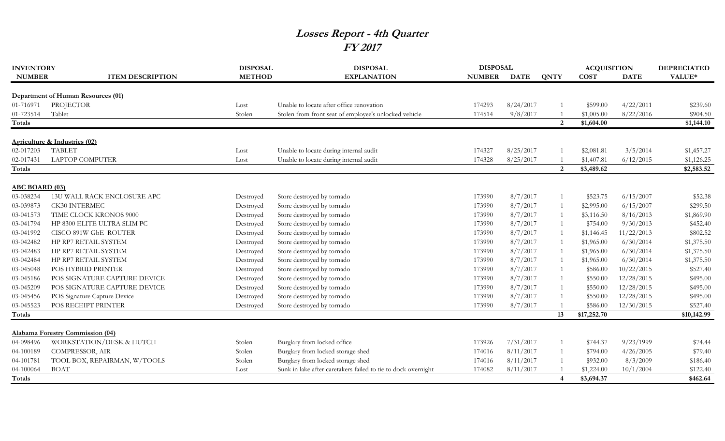## **Losses Report - 4th Quarter FY 2017**

| <b>INVENTORY</b>      |                                    | <b>DISPOSAL</b> | <b>DISPOSAL</b>                                               | <b>DISPOSAL</b> |             | <b>ACQUISITION</b>     |             | <b>DEPRECIATED</b> |             |
|-----------------------|------------------------------------|-----------------|---------------------------------------------------------------|-----------------|-------------|------------------------|-------------|--------------------|-------------|
| <b>NUMBER</b>         | <b>ITEM DESCRIPTION</b>            | <b>METHOD</b>   | <b>EXPLANATION</b>                                            | <b>NUMBER</b>   | <b>DATE</b> | <b>QNTY</b>            | <b>COST</b> | <b>DATE</b>        | VALUE*      |
|                       |                                    |                 |                                                               |                 |             |                        |             |                    |             |
|                       | Department of Human Resources (01) |                 |                                                               |                 |             |                        |             |                    |             |
| 01-716971             | PROJECTOR                          | Lost            | Unable to locate after office renovation                      | 174293          | 8/24/2017   |                        | \$599.00    | 4/22/2011          | \$239.60    |
| 01-723514             | Tablet                             | Stolen          | Stolen from front seat of employee's unlocked vehicle         | 174514          | 9/8/2017    |                        | \$1,005.00  | 8/22/2016          | \$904.50    |
| Totals                |                                    |                 |                                                               |                 |             | 2                      | \$1,604.00  |                    | \$1,144.10  |
|                       | Agriculture & Industries (02)      |                 |                                                               |                 |             |                        |             |                    |             |
| 02-017203             | <b>TABLET</b>                      | Lost            | Unable to locate during internal audit                        | 174327          | 8/25/2017   |                        | \$2,081.81  | 3/5/2014           | \$1,457.27  |
| 02-017431             | <b>LAPTOP COMPUTER</b>             | Lost            | Unable to locate during internal audit                        | 174328          | 8/25/2017   |                        | \$1,407.81  | 6/12/2015          | \$1,126.25  |
| Totals                |                                    |                 |                                                               |                 |             | 2                      | \$3,489.62  |                    | \$2,583.52  |
| <b>ABC BOARD (03)</b> |                                    |                 |                                                               |                 |             |                        |             |                    |             |
| 03-038234             | 13U WALL RACK ENCLOSURE APC        | Destroyed       | Store destroyed by tornado                                    | 173990          | 8/7/2017    |                        | \$523.75    | 6/15/2007          | \$52.38     |
| 03-039873             | <b>CK30 INTERMEC</b>               | Destroyed       | Store destroyed by tornado                                    | 173990          | 8/7/2017    |                        | \$2,995.00  | 6/15/2007          | \$299.50    |
| 03-041573             | TIME CLOCK KRONOS 9000             | Destroyed       | Store destroyed by tornado                                    | 173990          | 8/7/2017    |                        | \$3,116.50  | 8/16/2013          | \$1,869.90  |
| 03-041794             | HP 8300 ELITE ULTRA SLIM PC        | Destroyed       | Store destroyed by tornado                                    | 173990          | 8/7/2017    |                        | \$754.00    | 9/30/2013          | \$452.40    |
| 03-041992             | CISCO 891W GbE ROUTER              | Destroyed       | Store destroyed by tornado                                    | 173990          | 8/7/2017    |                        | \$1,146.45  | 11/22/2013         | \$802.52    |
| 03-042482             | HP RP7 RETAIL SYSTEM               | Destroyed       | Store destroyed by tornado                                    | 173990          | 8/7/2017    |                        | \$1,965.00  | 6/30/2014          | \$1,375.50  |
| 03-042483             | HP RP7 RETAIL SYSTEM               | Destroyed       | Store destroyed by tornado                                    | 173990          | 8/7/2017    |                        | \$1,965.00  | 6/30/2014          | \$1,375.50  |
| 03-042484             | HP RP7 RETAIL SYSTEM               | Destroyed       | Store destroyed by tornado                                    | 173990          | 8/7/2017    |                        | \$1,965.00  | 6/30/2014          | \$1,375.50  |
| 03-045048             | POS HYBRID PRINTER                 | Destroyed       | Store destroyed by tornado                                    | 173990          | 8/7/2017    |                        | \$586.00    | 10/22/2015         | \$527.40    |
| 03-045186             | POS SIGNATURE CAPTURE DEVICE       | Destroyed       | Store destroyed by tornado                                    | 173990          | 8/7/2017    |                        | \$550.00    | 12/28/2015         | \$495.00    |
| 03-045209             | POS SIGNATURE CAPTURE DEVICE       | Destroyed       | Store destroyed by tornado                                    | 173990          | 8/7/2017    |                        | \$550.00    | 12/28/2015         | \$495.00    |
| 03-045456             | POS Signature Capture Device       | Destroyed       | Store destroyed by tornado                                    | 173990          | 8/7/2017    |                        | \$550.00    | 12/28/2015         | \$495.00    |
| 03-045523             | POS RECEIPT PRINTER                | Destroyed       | Store destroyed by tornado                                    | 173990          | 8/7/2017    |                        | \$586.00    | 12/30/2015         | \$527.40    |
| Totals                |                                    |                 |                                                               |                 |             | 13                     | \$17,252.70 |                    | \$10,142.99 |
|                       |                                    |                 |                                                               |                 |             |                        |             |                    |             |
|                       | Alabama Forestry Commission (04)   |                 |                                                               |                 |             |                        |             |                    |             |
| 04-098496             | WORKSTATION/DESK & HUTCH           | Stolen          | Burglary from locked office                                   | 173926          | 7/31/2017   |                        | \$744.37    | 9/23/1999          | \$74.44     |
| 04-100189             | COMPRESSOR, AIR                    | Stolen          | Burglary from locked storage shed                             | 174016          | 8/11/2017   |                        | \$794.00    | 4/26/2005          | \$79.40     |
| 04-101781             | TOOL BOX, REPAIRMAN, W/TOOLS       | Stolen          | Burglary from locked storage shed                             | 174016          | 8/11/2017   |                        | \$932.00    | 8/3/2009           | \$186.40    |
| 04-100064             | <b>BOAT</b>                        | Lost            | Sunk in lake after caretakers failed to tie to dock overnight | 174082          | 8/11/2017   |                        | \$1,224.00  | 10/1/2004          | \$122.40    |
| Totals                |                                    |                 |                                                               |                 |             | $\boldsymbol{\Lambda}$ | \$3,694.37  |                    | \$462.64    |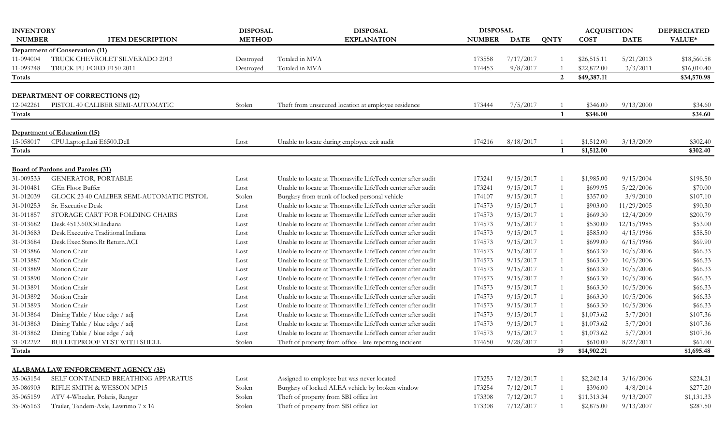| <b>INVENTORY</b> |                                            | <b>DISPOSAL</b> | <b>DISPOSAL</b>                                             | <b>DISPOSAL</b> |             |                | <b>ACQUISITION</b> |             | <b>DEPRECIATED</b> |
|------------------|--------------------------------------------|-----------------|-------------------------------------------------------------|-----------------|-------------|----------------|--------------------|-------------|--------------------|
| <b>NUMBER</b>    | <b>ITEM DESCRIPTION</b>                    | <b>METHOD</b>   | <b>EXPLANATION</b>                                          | <b>NUMBER</b>   | <b>DATE</b> | <b>QNTY</b>    | <b>COST</b>        | <b>DATE</b> | VALUE*             |
|                  | <b>Department of Conservation (11)</b>     |                 |                                                             |                 |             |                |                    |             |                    |
| 11-094004        | TRUCK CHEVROLET SILVERADO 2013             | Destroyed       | Totaled in MVA                                              | 173558          | 7/17/2017   |                | \$26,515.11        | 5/21/2013   | \$18,560.58        |
| 11-093248        | TRUCK PU FORD F150 2011                    | Destroyed       | Totaled in MVA                                              | 174453          | 9/8/2017    |                | \$22,872.00        | 3/3/2011    | \$16,010.40        |
| Totals           |                                            |                 |                                                             |                 |             | 2              | \$49,387.11        |             | \$34,570.98        |
|                  | <b>DEPARTMENT OF CORRECTIONS (12)</b>      |                 |                                                             |                 |             |                |                    |             |                    |
| 12-042261        | PISTOL 40 CALIBER SEMI-AUTOMATIC           | Stolen          | Theft from unsecured location at employee residence         | 173444          | 7/5/2017    |                | \$346.00           | 9/13/2000   | \$34.60            |
| Totals           |                                            |                 |                                                             |                 |             |                | \$346.00           |             | \$34.60            |
|                  | Department of Education (15)               |                 |                                                             |                 |             |                |                    |             |                    |
| 15-058017        | CPU.Laptop.Lati E6500.Dell                 | Lost            | Unable to locate during employee exit audit                 | 174216          | 8/18/2017   |                | \$1,512.00         | 3/13/2009   | \$302.40           |
| Totals           |                                            |                 |                                                             |                 |             | $\mathbf{1}$   | \$1,512.00         |             | \$302.40           |
|                  | <b>Board of Pardons and Paroles (31)</b>   |                 |                                                             |                 |             |                |                    |             |                    |
| 31-009533        | GENERATOR, PORTABLE                        | Lost            | Unable to locate at Thomasville LifeTech center after audit | 173241          | 9/15/2017   |                | \$1,985.00         | 9/15/2004   | \$198.50           |
| 31-010481        | GEn Floor Buffer                           | Lost            | Unable to locate at Thomasville LifeTech center after audit | 173241          | 9/15/2017   | 1              | \$699.95           | 5/22/2006   | \$70.00            |
| 31-012039        | GLOCK 23 40 CALIBER SEMI-AUTOMATIC PISTOL  | Stolen          | Burglary from trunk of locked personal vehicle              | 174107          | 9/15/2017   | 1              | \$357.00           | 3/9/2010    | \$107.10           |
| 31-010253        | Sr. Executive Desk                         | Lost            | Unable to locate at Thomasville LifeTech center after audit | 174573          | 9/15/2017   | $\overline{1}$ | \$903.00           | 11/29/2005  | \$90.30            |
| 31-011857        | STORAGE CART FOR FOLDING CHAIRS            | Lost            | Unable to locate at Thomasville LifeTech center after audit | 174573          | 9/15/2017   | $\overline{1}$ | \$669.30           | 12/4/2009   | \$200.79           |
| 31-013682        | Desk.4513.60X30.Indiana                    | Lost            | Unable to locate at Thomasville LifeTech center after audit | 174573          | 9/15/2017   | $\overline{1}$ | \$530.00           | 12/15/1985  | \$53.00            |
| 31-013683        | Desk.Executive.Traditional.Indiana         | Lost            | Unable to locate at Thomasville LifeTech center after audit | 174573          | 9/15/2017   | $\overline{1}$ | \$585.00           | 4/15/1986   | \$58.50            |
| 31-013684        | Desk.Exec.Steno.Rt Return.ACI              | Lost            | Unable to locate at Thomasville LifeTech center after audit | 174573          | 9/15/2017   |                | \$699.00           | 6/15/1986   | \$69.90            |
| 31-013886        | Motion Chair                               | Lost            | Unable to locate at Thomasville LifeTech center after audit | 174573          | 9/15/2017   | $\overline{1}$ | \$663.30           | 10/5/2006   | \$66.33            |
| 31-013887        | Motion Chair                               | Lost            | Unable to locate at Thomasville LifeTech center after audit | 174573          | 9/15/2017   | $\overline{1}$ | \$663.30           | 10/5/2006   | \$66.33            |
| 31-013889        | Motion Chair                               | Lost            | Unable to locate at Thomasville LifeTech center after audit | 174573          | 9/15/2017   | 1              | \$663.30           | 10/5/2006   | \$66.33            |
| 31-013890        | Motion Chair                               | Lost            | Unable to locate at Thomasville LifeTech center after audit | 174573          | 9/15/2017   | 1              | \$663.30           | 10/5/2006   | \$66.33            |
| 31-013891        | Motion Chair                               | Lost            | Unable to locate at Thomasville LifeTech center after audit | 174573          | 9/15/2017   | 1              | \$663.30           | 10/5/2006   | \$66.33            |
| 31-013892        | Motion Chair                               | Lost            | Unable to locate at Thomasville LifeTech center after audit | 174573          | 9/15/2017   | $\overline{1}$ | \$663.30           | 10/5/2006   | \$66.33            |
| 31-013893        | Motion Chair                               | Lost            | Unable to locate at Thomasville LifeTech center after audit | 174573          | 9/15/2017   | $\overline{1}$ | \$663.30           | 10/5/2006   | \$66.33            |
| 31-013864        | Dining Table / blue edge / adj             | Lost            | Unable to locate at Thomasville LifeTech center after audit | 174573          | 9/15/2017   | $\overline{1}$ | \$1,073.62         | 5/7/2001    | \$107.36           |
| 31-013863        | Dining Table / blue edge / adj             | Lost            | Unable to locate at Thomasville LifeTech center after audit | 174573          | 9/15/2017   | -1             | \$1,073.62         | 5/7/2001    | \$107.36           |
| 31-013862        | Dining Table / blue edge / adj             | Lost            | Unable to locate at Thomasville LifeTech center after audit | 174573          | 9/15/2017   |                | \$1,073.62         | 5/7/2001    | \$107.36           |
| 31-012292        | <b>BULLETPROOF VEST WITH SHELL</b>         | Stolen          | Theft of property from office - late reporting incident     | 174650          | 9/28/2017   |                | \$610.00           | 8/22/2011   | \$61.00            |
| Totals           |                                            |                 |                                                             |                 |             | 19             | \$14,902.21        |             | \$1,695.48         |
|                  | <b>ALABAMA LAW ENFORCEMENT AGENCY (35)</b> |                 |                                                             |                 |             |                |                    |             |                    |
| 35-063154        | SELF CONTAINED BREATHING APPARATUS         | Lost            | Assigned to employee but was never located                  | 173253          | 7/12/2017   | -1             | \$2,242.14         | 3/16/2006   | \$224.21           |
| 35-086903        | RIFLE SMITH & WESSON MP15                  | Stolen          | Burglary of locked ALEA vehicle by broken window            | 173254          | 7/12/2017   | $\overline{1}$ | \$396.00           | 4/8/2014    | \$277.20           |
| 35-065159        | ATV 4-Wheeler, Polaris, Ranger             | Stolen          | Theft of property from SBI office lot                       | 173308          | 7/12/2017   |                | \$11,313.34        | 9/13/2007   | \$1,131.33         |
| 35-065163        | Trailer, Tandem-Axle, Lawrimo 7 x 16       | Stolen          | Theft of property from SBI office lot                       | 173308          | 7/12/2017   |                | \$2,875.00         | 9/13/2007   | \$287.50           |
|                  |                                            |                 |                                                             |                 |             |                |                    |             |                    |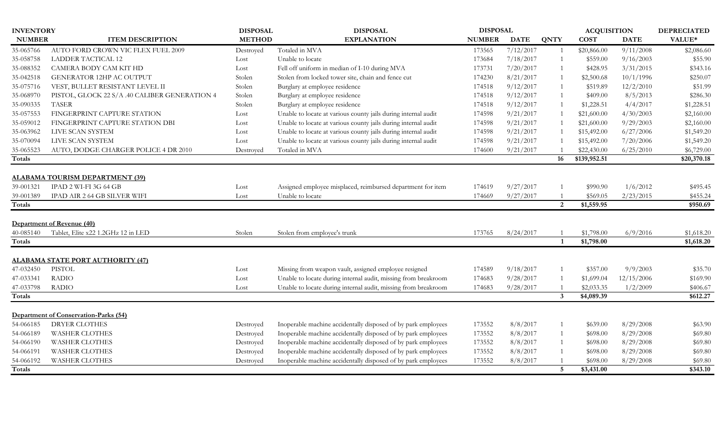| <b>INVENTORY</b> |                                               | <b>DISPOSAL</b> | <b>DISPOSAL</b>                                                | <b>DISPOSAL</b> |             |                 | <b>ACQUISITION</b> |             | <b>DEPRECIATED</b> |
|------------------|-----------------------------------------------|-----------------|----------------------------------------------------------------|-----------------|-------------|-----------------|--------------------|-------------|--------------------|
| <b>NUMBER</b>    | <b>ITEM DESCRIPTION</b>                       | <b>METHOD</b>   | <b>EXPLANATION</b>                                             | <b>NUMBER</b>   | <b>DATE</b> | <b>QNTY</b>     | <b>COST</b>        | <b>DATE</b> | VALUE*             |
| 35-065766        | AUTO FORD CROWN VIC FLEX FUEL 2009            | Destroyed       | Totaled in MVA                                                 | 173565          | 7/12/2017   | $\overline{1}$  | \$20,866.00        | 9/11/2008   | \$2,086.60         |
| 35-058758        | <b>LADDER TACTICAL 12</b>                     | Lost            | Unable to locate                                               | 173684          | 7/18/2017   |                 | \$559.00           | 9/16/2003   | \$55.90            |
| 35-088352        | CAMERA BODY CAM KIT HD                        | Lost            | Fell off uniform in median of I-10 during MVA                  | 173731          | 7/20/2017   | $\overline{1}$  | \$428.95           | 3/31/2015   | \$343.16           |
| 35-042518        | <b>GENERATOR 12HP AC OUTPUT</b>               | Stolen          | Stolen from locked tower site, chain and fence cut             | 174230          | 8/21/2017   | $\overline{1}$  | \$2,500.68         | 10/1/1996   | \$250.07           |
| 35-075716        | VEST, BULLET RESISTANT LEVEL II               | Stolen          | Burglary at employee residence                                 | 174518          | 9/12/2017   | 1               | \$519.89           | 12/2/2010   | \$51.99            |
| 35-068970        | PISTOL, GLOCK 22 S/A .40 CALIBER GENERATION 4 | Stolen          | Burglary at employee residence                                 | 174518          | 9/12/2017   | 1               | \$409.00           | 8/5/2013    | \$286.30           |
| 35-090335        | <b>TASER</b>                                  | Stolen          | Burglary at employee residence                                 | 174518          | 9/12/2017   | $\mathbf{1}$    | \$1,228.51         | 4/4/2017    | \$1,228.51         |
| 35-057553        | FINGERPRINT CAPTURE STATION                   | Lost            | Unable to locate at various county jails during internal audit | 174598          | 9/21/2017   | $\overline{1}$  | \$21,600.00        | 4/30/2003   | \$2,160.00         |
| 35-059012        | FINGERPRINT CAPTURE STATION DBI               | Lost            | Unable to locate at various county jails during internal audit | 174598          | 9/21/2017   | $\mathbf{1}$    | \$21,600.00        | 9/29/2003   | \$2,160.00         |
| 35-063962        | LIVE SCAN SYSTEM                              | Lost            | Unable to locate at various county jails during internal audit | 174598          | 9/21/2017   |                 | \$15,492.00        | 6/27/2006   | \$1,549.20         |
| 35-070094        | LIVE SCAN SYSTEM                              | Lost            | Unable to locate at various county jails during internal audit | 174598          | 9/21/2017   |                 | \$15,492.00        | 7/20/2006   | \$1,549.20         |
| 35-065523        | AUTO, DODGE CHARGER POLICE 4 DR 2010          | Destroved       | Totaled in MVA                                                 | 174600          | 9/21/2017   |                 | \$22,430.00        | 6/25/2010   | \$6,729.00         |
| <b>Totals</b>    |                                               |                 |                                                                |                 |             | 16              | \$139,952.51       |             | \$20,370.18        |
|                  |                                               |                 |                                                                |                 |             |                 |                    |             |                    |
|                  | <b>ALABAMA TOURISM DEPARTMENT (39)</b>        |                 |                                                                |                 |             |                 |                    |             |                    |
| 39-001321        | IPAD 2 WI-FI 3G 64 GB                         | Lost            | Assigned employee misplaced, reimbursed department for item    | 174619          | 9/27/2017   |                 | \$990.90           | 1/6/2012    | \$495.45           |
| 39-001389        | IPAD AIR 2 64 GB SILVER WIFI                  | Lost            | Unable to locate                                               | 174669          | 9/27/2017   |                 | \$569.05           | 2/23/2015   | \$455.24           |
| Totals           |                                               |                 |                                                                |                 |             | 2               | \$1,559.95         |             | \$950.69           |
|                  |                                               |                 |                                                                |                 |             |                 |                    |             |                    |
|                  | Department of Revenue (40)                    |                 |                                                                |                 |             |                 |                    |             |                    |
| 40-085140        | Tablet, Elite x22 1.2GHz 12 in LED            | Stolen          | Stolen from employee's trunk                                   | 173765          | 8/24/2017   |                 | \$1,798.00         | 6/9/2016    | \$1,618.20         |
| Totals           |                                               |                 |                                                                |                 |             | -1              | \$1,798.00         |             | \$1,618.20         |
|                  | <b>ALABAMA STATE PORT AUTHORITY (47)</b>      |                 |                                                                |                 |             |                 |                    |             |                    |
| 47-032450        | PISTOL                                        | Lost            | Missing from weapon vault, assigned employee resigned          | 174589          | 9/18/2017   |                 | \$357.00           | 9/9/2003    | \$35.70            |
| 47-033341        | <b>RADIO</b>                                  | Lost            | Unable to locate during internal audit, missing from breakroom | 174683          | 9/28/2017   |                 | \$1,699.04         | 12/15/2006  | \$169.90           |
| 47-033798        | <b>RADIO</b>                                  | Lost            | Unable to locate during internal audit, missing from breakroom | 174683          | 9/28/2017   |                 | \$2,033.35         | 1/2/2009    | \$406.67           |
| <b>Totals</b>    |                                               |                 |                                                                |                 |             | $\overline{3}$  | \$4,089.39         |             | \$612.27           |
|                  |                                               |                 |                                                                |                 |             |                 |                    |             |                    |
|                  | Department of Conservation-Parks (54)         |                 |                                                                |                 |             |                 |                    |             |                    |
| 54-066185        | <b>DRYER CLOTHES</b>                          | Destroyed       | Inoperable machine accidentally disposed of by park employees  | 173552          | 8/8/2017    | $\mathbf{1}$    | \$639.00           | 8/29/2008   | \$63.90            |
| 54-066189        | <b>WASHER CLOTHES</b>                         | Destroyed       | Inoperable machine accidentally disposed of by park employees  | 173552          | 8/8/2017    | $\mathbf{1}$    | \$698.00           | 8/29/2008   | \$69.80            |
| 54-066190        | <b>WASHER CLOTHES</b>                         | Destroyed       | Inoperable machine accidentally disposed of by park employees  | 173552          | 8/8/2017    | 1               | \$698.00           | 8/29/2008   | \$69.80            |
| 54-066191        | <b>WASHER CLOTHES</b>                         | Destroyed       | Inoperable machine accidentally disposed of by park employees  | 173552          | 8/8/2017    | $\mathbf{1}$    | \$698.00           | 8/29/2008   | \$69.80            |
| 54-066192        | <b>WASHER CLOTHES</b>                         | Destroyed       | Inoperable machine accidentally disposed of by park employees  | 173552          | 8/8/2017    |                 | \$698.00           | 8/29/2008   | \$69.80            |
| Totals           |                                               |                 |                                                                |                 |             | $5\phantom{.0}$ | \$3,431.00         |             | \$343.10           |